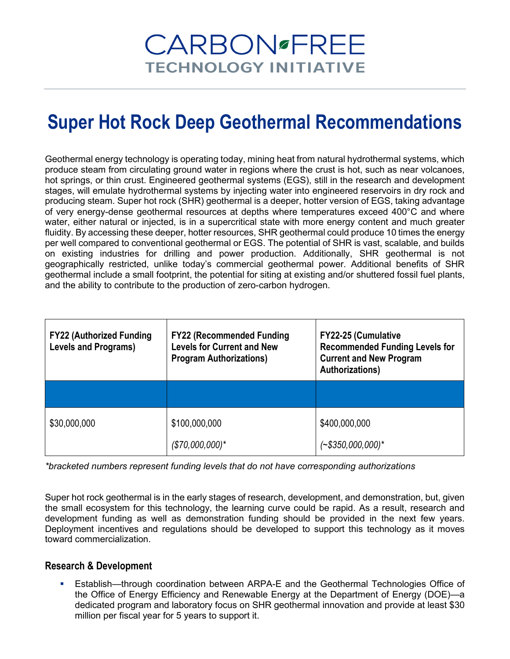# **CARBON** FREE **TECHNOLOGY INITIATIVE**

## **Super Hot Rock Deep Geothermal Recommendations**

Geothermal energy technology is operating today, mining heat from natural hydrothermal systems, which produce steam from circulating ground water in regions where the crust is hot, such as near volcanoes, hot springs, or thin crust. Engineered geothermal systems (EGS), still in the research and development stages, will emulate hydrothermal systems by injecting water into engineered reservoirs in dry rock and producing steam. Super hot rock (SHR) geothermal is a deeper, hotter version of EGS, taking advantage of very energy-dense geothermal resources at depths where temperatures exceed 400°C and where water, either natural or injected, is in a supercritical state with more energy content and much greater fluidity. By accessing these deeper, hotter resources, SHR geothermal could produce 10 times the energy per well compared to conventional geothermal or EGS. The potential of SHR is vast, scalable, and builds on existing industries for drilling and power production. Additionally, SHR geothermal is not geographically restricted, unlike today's commercial geothermal power. Additional benefits of SHR geothermal include a small footprint, the potential for siting at existing and/or shuttered fossil fuel plants, and the ability to contribute to the production of zero-carbon hydrogen.

| <b>FY22 (Authorized Funding</b><br><b>Levels and Programs)</b> | <b>FY22 (Recommended Funding</b><br><b>Levels for Current and New</b><br><b>Program Authorizations)</b> | <b>FY22-25 (Cumulative</b><br><b>Recommended Funding Levels for</b><br><b>Current and New Program</b><br><b>Authorizations)</b> |
|----------------------------------------------------------------|---------------------------------------------------------------------------------------------------------|---------------------------------------------------------------------------------------------------------------------------------|
|                                                                |                                                                                                         |                                                                                                                                 |
| \$30,000,000                                                   | \$100,000,000<br>$($70,000,000)*$                                                                       | \$400,000,000<br>$(*$350,000,000)*$                                                                                             |

*\*bracketed numbers represent funding levels that do not have corresponding authorizations*

Super hot rock geothermal is in the early stages of research, development, and demonstration, but, given the small ecosystem for this technology, the learning curve could be rapid. As a result, research and development funding as well as demonstration funding should be provided in the next few years. Deployment incentives and regulations should be developed to support this technology as it moves toward commercialization.

## **Research & Development**

 Establish—through coordination between ARPA-E and the Geothermal Technologies Office of the Office of Energy Efficiency and Renewable Energy at the Department of Energy (DOE)—a dedicated program and laboratory focus on SHR geothermal innovation and provide at least \$30 million per fiscal year for 5 years to support it.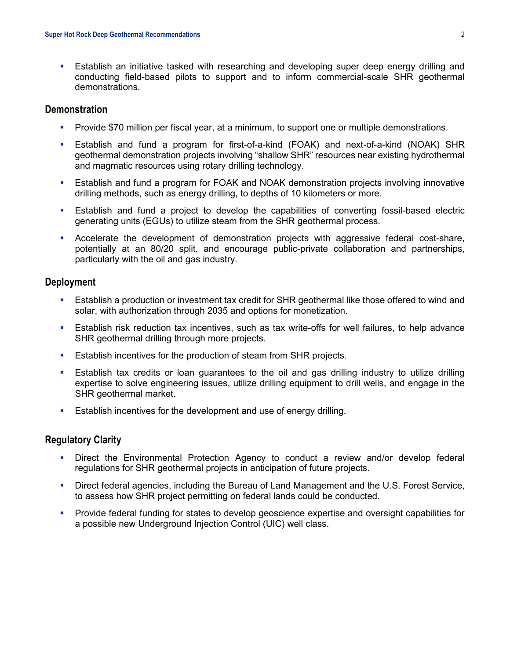Establish an initiative tasked with researching and developing super deep energy drilling and conducting field-based pilots to support and to inform commercial-scale SHR geothermal demonstrations.

#### **Demonstration**

- Provide \$70 million per fiscal year, at a minimum, to support one or multiple demonstrations.
- Establish and fund a program for first-of-a-kind (FOAK) and next-of-a-kind (NOAK) SHR geothermal demonstration projects involving "shallow SHR" resources near existing hydrothermal and magmatic resources using rotary drilling technology.
- Establish and fund a program for FOAK and NOAK demonstration projects involving innovative drilling methods, such as energy drilling, to depths of 10 kilometers or more.
- Establish and fund a project to develop the capabilities of converting fossil-based electric generating units (EGUs) to utilize steam from the SHR geothermal process.
- Accelerate the development of demonstration projects with aggressive federal cost-share, potentially at an 80/20 split, and encourage public-private collaboration and partnerships, particularly with the oil and gas industry.

#### **Deployment**

- Establish a production or investment tax credit for SHR geothermal like those offered to wind and solar, with authorization through 2035 and options for monetization.
- Establish risk reduction tax incentives, such as tax write-offs for well failures, to help advance SHR geothermal drilling through more projects.
- **Establish incentives for the production of steam from SHR projects.**
- Establish tax credits or loan guarantees to the oil and gas drilling industry to utilize drilling expertise to solve engineering issues, utilize drilling equipment to drill wells, and engage in the SHR geothermal market.
- Establish incentives for the development and use of energy drilling.

#### **Regulatory Clarity**

- **•** Direct the Environmental Protection Agency to conduct a review and/or develop federal regulations for SHR geothermal projects in anticipation of future projects.
- Direct federal agencies, including the Bureau of Land Management and the U.S. Forest Service, to assess how SHR project permitting on federal lands could be conducted.
- Provide federal funding for states to develop geoscience expertise and oversight capabilities for a possible new Underground Injection Control (UIC) well class.